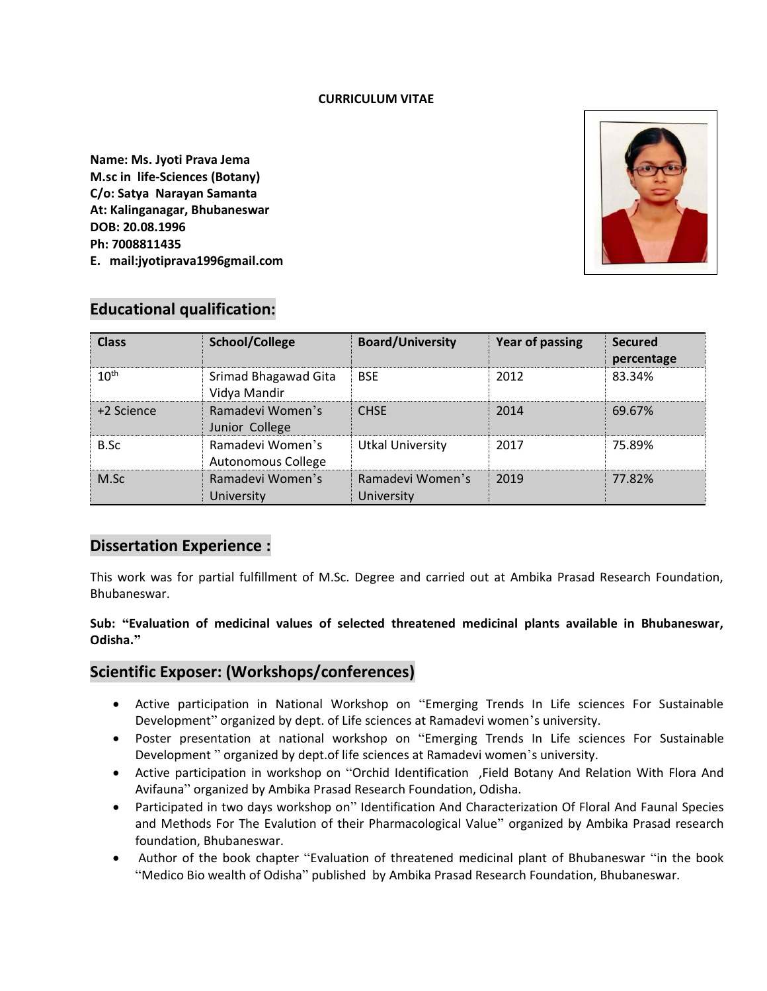#### **CURRICULUM VITAE**

**Name: Ms. Jyoti Prava Jema M.sc in life-Sciences (Botany) C/o: Satya Narayan Samanta At: Kalinganagar, Bhubaneswar DOB: 20.08.1996 Ph: 7008811435 E. mail:jyotiprava1996gmail.com**



# **Educational qualification:**

| <b>Class</b>     | School/College                         | <b>Board/University</b>        | <b>Year of passing</b> | <b>Secured</b><br>percentage |
|------------------|----------------------------------------|--------------------------------|------------------------|------------------------------|
| 10 <sup>th</sup> | Srimad Bhagawad Gita<br>Vidya Mandir   | <b>BSF</b>                     | 2012                   | 83.34%                       |
| +2 Science       | Ramadevi Women's<br>Junior College     | <b>CHSE</b>                    | 2014                   | 69.67%                       |
| B.Sc             | Ramadevi Women's<br>Autonomous College | <b>Utkal University</b>        | 2017                   | 75.89%                       |
| M.Sc             | Ramadevi Women's<br>University         | Ramadevi Women's<br>University | 2019                   | 77.82%                       |

## **Dissertation Experience :**

This work was for partial fulfillment of M.Sc. Degree and carried out at Ambika Prasad Research Foundation, Bhubaneswar.

#### **Sub: "Evaluation of medicinal values of selected threatened medicinal plants available in Bhubaneswar, Odisha."**

## **Scientific Exposer: (Workshops/conferences)**

- Active participation in National Workshop on "Emerging Trends In Life sciences For Sustainable Development" organized by dept. of Life sciences at Ramadevi women's university.
- Poster presentation at national workshop on "Emerging Trends In Life sciences For Sustainable Development " organized by dept.of life sciences at Ramadevi women's university.
- Active participation in workshop on "Orchid Identification ,Field Botany And Relation With Flora And Avifauna" organized by Ambika Prasad Research Foundation, Odisha.
- Participated in two days workshop on" Identification And Characterization Of Floral And Faunal Species and Methods For The Evalution of their Pharmacological Value" organized by Ambika Prasad research foundation, Bhubaneswar.
- Author of the book chapter "Evaluation of threatened medicinal plant of Bhubaneswar "in the book "Medico Bio wealth of Odisha" published by Ambika Prasad Research Foundation, Bhubaneswar.